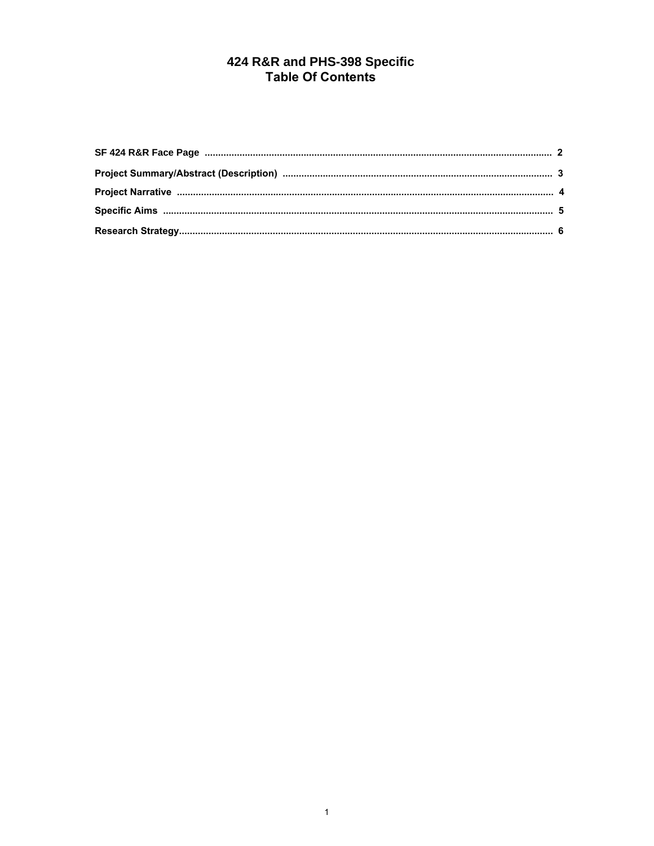# 424 R&R and PHS-398 Specific<br>Table Of Contents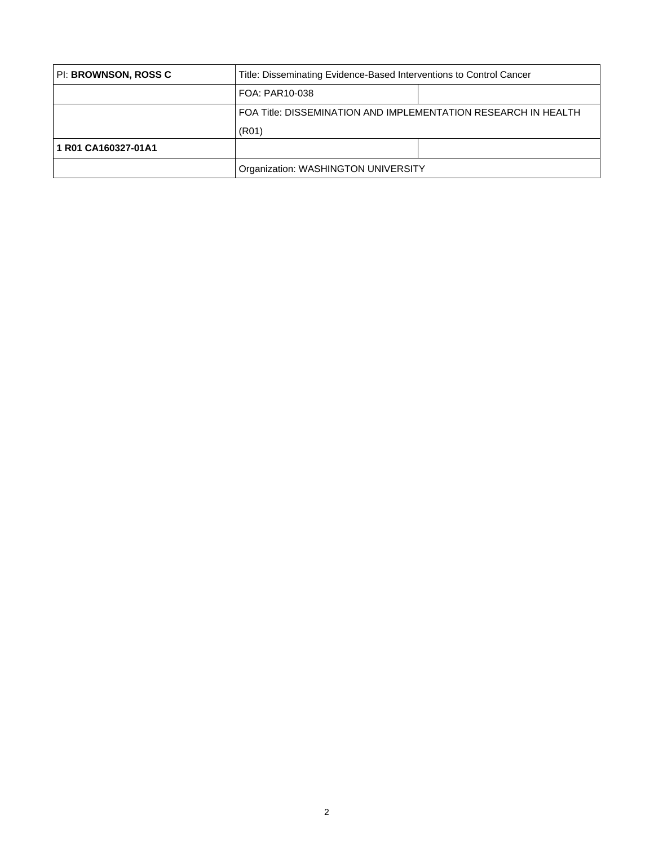<span id="page-1-0"></span>

| PI: BROWNSON, ROSS C | Title: Disseminating Evidence-Based Interventions to Control Cancer |  |  |  |  |  |  |  |  |  |  |
|----------------------|---------------------------------------------------------------------|--|--|--|--|--|--|--|--|--|--|
|                      | FOA: PAR10-038                                                      |  |  |  |  |  |  |  |  |  |  |
|                      | FOA Title: DISSEMINATION AND IMPLEMENTATION RESEARCH IN HEALTH      |  |  |  |  |  |  |  |  |  |  |
|                      | (R <sub>01</sub> )                                                  |  |  |  |  |  |  |  |  |  |  |
| 1 R01 CA160327-01A1  |                                                                     |  |  |  |  |  |  |  |  |  |  |
|                      | Organization: WASHINGTON UNIVERSITY                                 |  |  |  |  |  |  |  |  |  |  |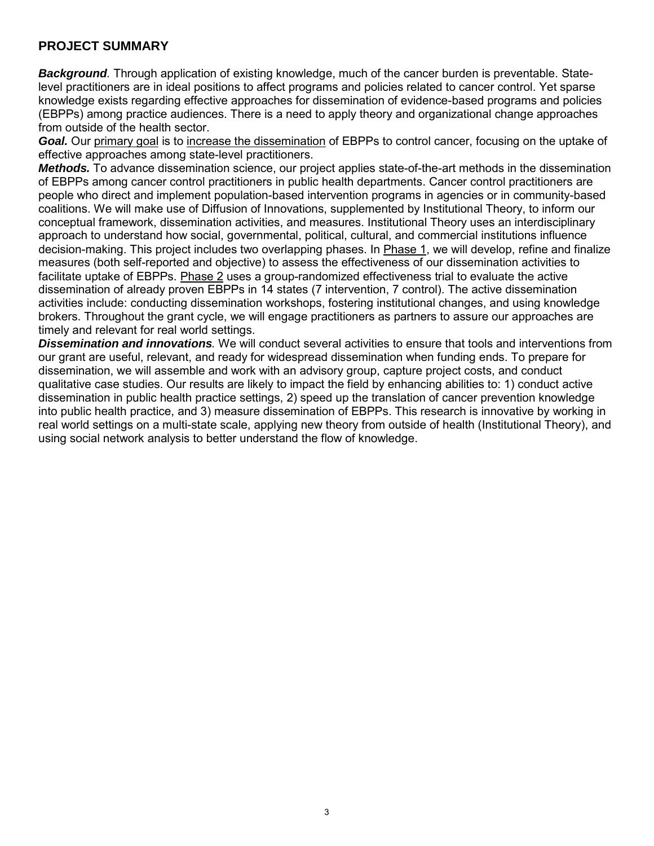## <span id="page-2-0"></span>**PROJECT SUMMARY**

*Background.* Through application of existing knowledge, much of the cancer burden is preventable. Statelevel practitioners are in ideal positions to affect programs and policies related to cancer control. Yet sparse knowledge exists regarding effective approaches for dissemination of evidence-based programs and policies (EBPPs) among practice audiences. There is a need to apply theory and organizational change approaches from outside of the health sector.

Goal. Our primary goal is to increase the dissemination of EBPPs to control cancer, focusing on the uptake of effective approaches among state-level practitioners.

*Methods.* To advance dissemination science, our project applies state-of-the-art methods in the dissemination of EBPPs among cancer control practitioners in public health departments. Cancer control practitioners are people who direct and implement population-based intervention programs in agencies or in community-based coalitions. We will make use of Diffusion of Innovations, supplemented by Institutional Theory, to inform our conceptual framework, dissemination activities, and measures. Institutional Theory uses an interdisciplinary approach to understand how social, governmental, political, cultural, and commercial institutions influence decision-making. This project includes two overlapping phases. In Phase 1, we will develop, refine and finalize measures (both self-reported and objective) to assess the effectiveness of our dissemination activities to facilitate uptake of EBPPs. Phase 2 uses a group-randomized effectiveness trial to evaluate the active dissemination of already proven EBPPs in 14 states (7 intervention, 7 control). The active dissemination activities include: conducting dissemination workshops, fostering institutional changes, and using knowledge brokers. Throughout the grant cycle, we will engage practitioners as partners to assure our approaches are timely and relevant for real world settings.

*Dissemination and innovations.* We will conduct several activities to ensure that tools and interventions from our grant are useful, relevant, and ready for widespread dissemination when funding ends. To prepare for dissemination, we will assemble and work with an advisory group, capture project costs, and conduct qualitative case studies. Our results are likely to impact the field by enhancing abilities to: 1) conduct active dissemination in public health practice settings, 2) speed up the translation of cancer prevention knowledge into public health practice, and 3) measure dissemination of EBPPs. This research is innovative by working in real world settings on a multi-state scale, applying new theory from outside of health (Institutional Theory), and using social network analysis to better understand the flow of knowledge.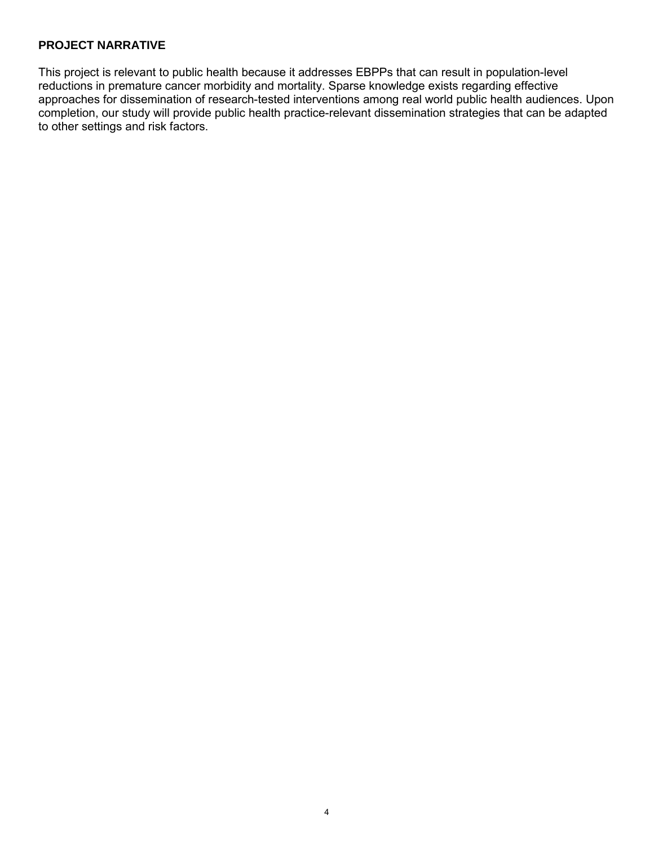#### <span id="page-3-0"></span>**PROJECT NARRATIVE**

This project is relevant to public health because it addresses EBPPs that can result in population-level reductions in premature cancer morbidity and mortality. Sparse knowledge exists regarding effective approaches for dissemination of research-tested interventions among real world public health audiences. Upon completion, our study will provide public health practice-relevant dissemination strategies that can be adapted to other settings and risk factors.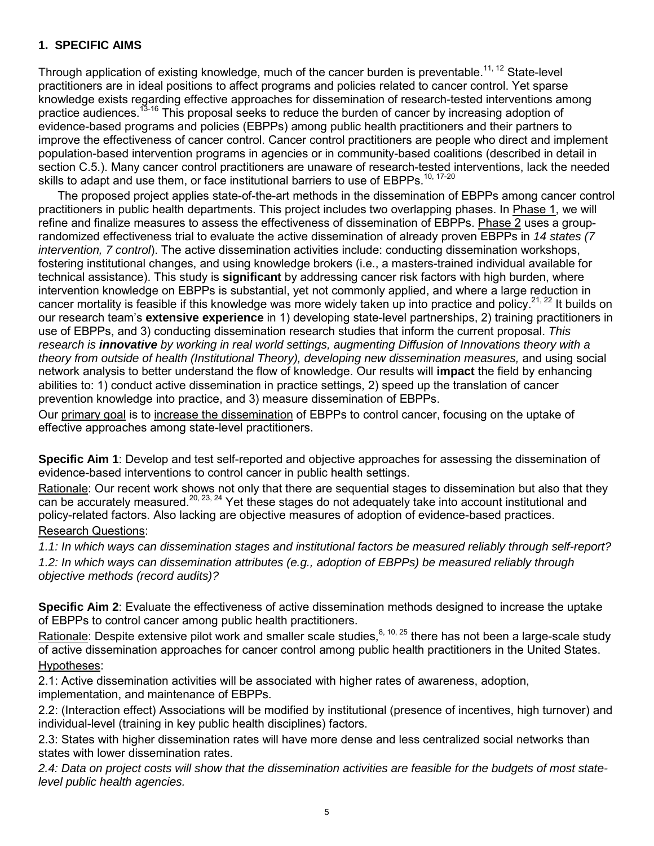#### <span id="page-4-0"></span>**1. SPECIFIC AIMS**

Through application of existing knowledge, much of the cancer burden is preventable.<sup>11, 12</sup> State-level practitioners are in ideal positions to affect programs and policies related to cancer control. Yet sparse knowledge exists regarding effective approaches for dissemination of research-tested interventions among practice audiences.<sup>13-16</sup> This proposal seeks to reduce the burden of cancer by increasing adoption of evidence-based programs and policies (EBPPs) among public health practitioners and their partners to improve the effectiveness of cancer control. Cancer control practitioners are people who direct and implement population-based intervention programs in agencies or in community-based coalitions (described in detail in section C.5.). Many cancer control practitioners are unaware of research-tested interventions, lack the needed skills to adapt and use them, or face institutional barriers to use of EBPPs.<sup>10, 17-20</sup>

The proposed project applies state-of-the-art methods in the dissemination of EBPPs among cancer control practitioners in public health departments. This project includes two overlapping phases. In Phase 1, we will refine and finalize measures to assess the effectiveness of dissemination of EBPPs. Phase 2 uses a grouprandomized effectiveness trial to evaluate the active dissemination of already proven EBPPs in *14 states (7 intervention, 7 control*). The active dissemination activities include: conducting dissemination workshops, fostering institutional changes, and using knowledge brokers (i.e., a masters-trained individual available for technical assistance). This study is **significant** by addressing cancer risk factors with high burden, where intervention knowledge on EBPPs is substantial, yet not commonly applied, and where a large reduction in cancer mortality is feasible if this knowledge was more widely taken up into practice and policy.<sup>21, 22</sup> It builds on our research team's **extensive experience** in 1) developing state-level partnerships, 2) training practitioners in use of EBPPs, and 3) conducting dissemination research studies that inform the current proposal. *This research is innovative by working in real world settings, augmenting Diffusion of Innovations theory with a theory from outside of health (Institutional Theory), developing new dissemination measures, and using social* network analysis to better understand the flow of knowledge. Our results will **impact** the field by enhancing abilities to: 1) conduct active dissemination in practice settings, 2) speed up the translation of cancer prevention knowledge into practice, and 3) measure dissemination of EBPPs.

Our primary goal is to increase the dissemination of EBPPs to control cancer, focusing on the uptake of effective approaches among state-level practitioners.

**Specific Aim 1**: Develop and test self-reported and objective approaches for assessing the dissemination of evidence-based interventions to control cancer in public health settings.

<u>Rationale</u>: Our recent work shows not only that there are sequential stages to dissemination but also that they can be accurately measured.<sup>20, 23, 24</sup> Yet these stages do not adequately take into account institutional and policy-related factors. Also lacking are objective measures of adoption of evidence-based practices. Research Questions:

### *1.1: In which ways can dissemination stages and institutional factors be measured reliably through self-report? 1.2: In which ways can dissemination attributes (e.g., adoption of EBPPs) be measured reliably through objective methods (record audits)?*

**Specific Aim 2**: Evaluate the effectiveness of active dissemination methods designed to increase the uptake of EBPPs to control cancer among public health practitioners.

Rationale: Despite extensive pilot work and smaller scale studies,  $8, 10, 25$  there has not been a large-scale study of active dissemination approaches for cancer control among public health practitioners in the United States. Hypotheses:

2.1: Active dissemination activities will be associated with higher rates of awareness, adoption, implementation, and maintenance of EBPPs.

2.2: (Interaction effect) Associations will be modified by institutional (presence of incentives, high turnover) and individual-level (training in key public health disciplines) factors.

2.3: States with higher dissemination rates will have more dense and less centralized social networks than states with lower dissemination rates.

*2.4: Data on project costs will show that the dissemination activities are feasible for the budgets of most statelevel public health agencies.*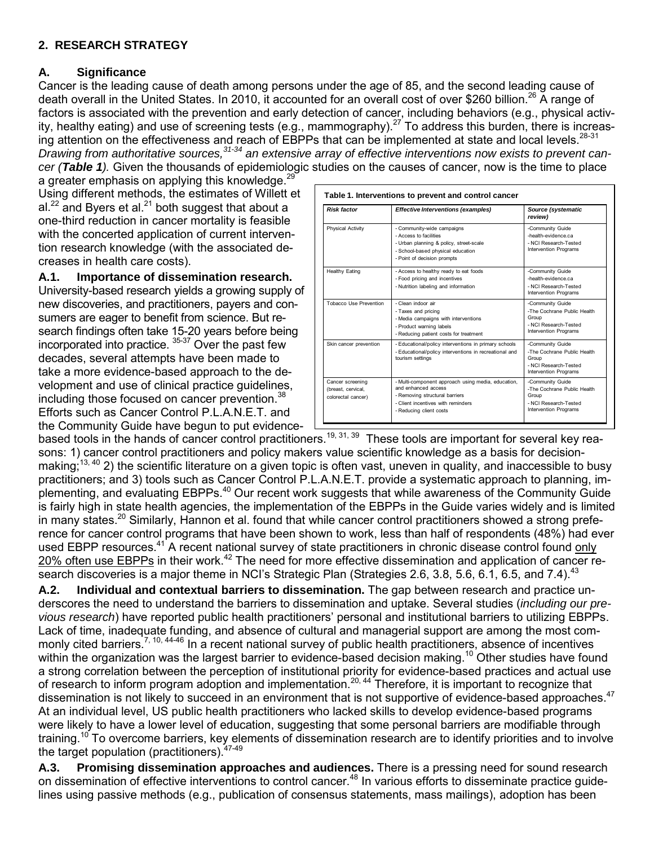### <span id="page-5-0"></span>**2. RESEARCH STRATEGY**

### **A. Significance**

Cancer is the leading cause of death among persons under the age of 85, and the second leading cause of death overall in the United States. In 2010, it accounted for an overall cost of over \$260 billion.<sup>26</sup> A range of factors is associated with the prevention and early detection of cancer, including behaviors (e.g., physical activity, healthy eating) and use of screening tests (e.g., mammography).<sup>27</sup> To address this burden, there is increasing attention on the effectiveness and reach of EBPPs that can be implemented at state and local levels.<sup>28-31</sup> *Drawing from authoritative sources,31-34 an extensive array of effective interventions now exists to prevent cancer (Table 1).* Given the thousands of epidemiologic studies on the causes of cancer, now is the time to place

a greater emphasis on applying this knowledge.<sup>29</sup> Using different methods, the estimates of Willett et al. $^{22}$  and Byers et al. $^{21}$  both suggest that about a one-third reduction in cancer mortality is feasible with the concerted application of current intervention research knowledge (with the associated decreases in health care costs).

**A.1. Importance of dissemination research.**  University-based research yields a growing supply of new discoveries, and practitioners, payers and consumers are eager to benefit from science. But research findings often take 15-20 years before being incorporated into practice. 35-37 Over the past few decades, several attempts have been made to take a more evidence-based approach to the development and use of clinical practice guidelines, including those focused on cancer prevention.<sup>38</sup> Efforts such as Cancer Control P.L.A.N.E.T. and the Community Guide have begun to put evidence-

| <b>Risk factor</b>                                           | <b>Effective Interventions (examples)</b>                                                                                                                                    | Source (systematic<br>review)                                                                              |  |  |  |
|--------------------------------------------------------------|------------------------------------------------------------------------------------------------------------------------------------------------------------------------------|------------------------------------------------------------------------------------------------------------|--|--|--|
| <b>Physical Activity</b>                                     | - Community-wide campaigns<br>- Access to facilities<br>- Urban planning & policy, street-scale<br>- School-based physical education<br>- Point of decision prompts          | -Community Guide<br>-health-evidence.ca<br>- NCI Research-Tested<br>Intervention Programs                  |  |  |  |
| Healthy Eating                                               | - Access to healthy ready to eat foods<br>- Food pricing and incentives<br>- Nutrition labeling and information                                                              | -Community Guide<br>-health-evidence.ca<br>- NCI Research-Tested<br>Intervention Programs                  |  |  |  |
| Tobacco Use Prevention                                       | - Clean indoor air<br>- Taxes and pricing<br>- Media campaigns with interventions<br>- Product warning labels<br>- Reducing patient costs for treatment                      | -Community Guide<br>-The Cochrane Public Health<br>Group<br>- NCI Research-Tested<br>Intervention Programs |  |  |  |
| Skin cancer prevention                                       | - Educational/policy interventions in primary schools<br>- Educational/policy interventions in recreational and<br>tourism settings                                          | -Community Guide<br>-The Cochrane Public Health<br>Group<br>- NCI Research-Tested<br>Intervention Programs |  |  |  |
| Cancer screening<br>(breast, cervical,<br>colorectal cancer) | - Multi-component approach using media, education,<br>and enhanced access<br>- Removing structural barriers<br>- Client incentives with reminders<br>- Reducing client costs | -Community Guide<br>-The Cochrane Public Health<br>Group<br>- NCI Research-Tested<br>Intervention Programs |  |  |  |

based tools in the hands of cancer control practitioners.<sup>19, 31, 39</sup> These tools are important for several key reasons: 1) cancer control practitioners and policy makers value scientific knowledge as a basis for decisionmaking;<sup>13, 40</sup> 2) the scientific literature on a given topic is often vast, uneven in quality, and inaccessible to busy practitioners; and 3) tools such as Cancer Control P.L.A.N.E.T. provide a systematic approach to planning, implementing, and evaluating EBPPs.<sup>40</sup> Our recent work suggests that while awareness of the Community Guide is fairly high in state health agencies, the implementation of the EBPPs in the Guide varies widely and is limited in many states.<sup>20</sup> Similarly, Hannon et al. found that while cancer control practitioners showed a strong preference for cancer control programs that have been shown to work, less than half of respondents (48%) had ever used EBPP resources.<sup>41</sup> A recent national survey of state practitioners in chronic disease control found only 20% often use EBPPs in their work.<sup>42</sup> The need for more effective dissemination and application of cancer research discoveries is a major theme in NCI's Strategic Plan (Strategies 2.6, 3.8, 5.6, 6.1, 6.5, and 7.4).<sup>43</sup>

**A.2. Individual and contextual barriers to dissemination.** The gap between research and practice underscores the need to understand the barriers to dissemination and uptake. Several studies (*including our previous research*) have reported public health practitioners' personal and institutional barriers to utilizing EBPPs. Lack of time, inadequate funding, and absence of cultural and managerial support are among the most commonly cited barriers.<sup>7, 10, 44-46</sup> In a recent national survey of public health practitioners, absence of incentives within the organization was the largest barrier to evidence-based decision making.<sup>10</sup> Other studies have found a strong correlation between the perception of institutional priority for evidence-based practices and actual use of research to inform program adoption and implementation.<sup>20, 44</sup> Therefore, it is important to recognize that dissemination is not likely to succeed in an environment that is not supportive of evidence-based approaches.<sup>47</sup> At an individual level, US public health practitioners who lacked skills to develop evidence-based programs were likely to have a lower level of education, suggesting that some personal barriers are modifiable through training.<sup>10</sup> To overcome barriers, key elements of dissemination research are to identify priorities and to involve the target population (practitioners). <sup>47-49</sup>

**A.3. Promising dissemination approaches and audiences.** There is a pressing need for sound research on dissemination of effective interventions to control cancer.<sup>48</sup> In various efforts to disseminate practice guidelines using passive methods (e.g., publication of consensus statements, mass mailings), adoption has been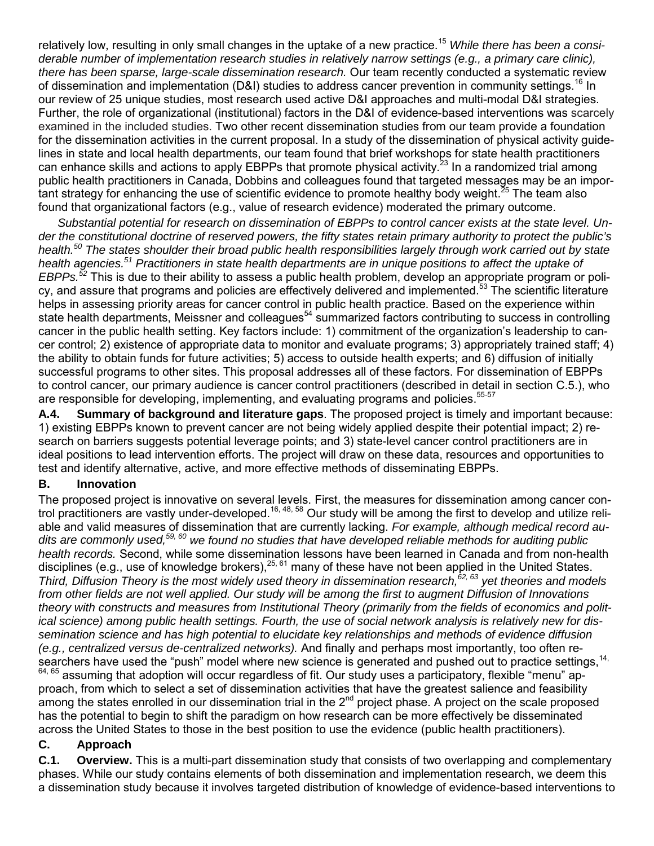relatively low, resulting in only small changes in the uptake of a new practice.<sup>15</sup> While there has been a consi*derable number of implementation research studies in relatively narrow settings (e.g., a primary care clinic), there has been sparse, large-scale dissemination research.* Our team recently conducted a systematic review of dissemination and implementation (D&I) studies to address cancer prevention in community settings.<sup>16</sup> In our review of 25 unique studies, most research used active D&I approaches and multi-modal D&I strategies. Further, the role of organizational (institutional) factors in the D&I of evidence-based interventions was scarcely examined in the included studies. Two other recent dissemination studies from our team provide a foundation for the dissemination activities in the current proposal. In a study of the dissemination of physical activity guidelines in state and local health departments, our team found that brief workshops for state health practitioners can enhance skills and actions to apply EBPPs that promote physical activity.<sup>23</sup> In a randomized trial among public health practitioners in Canada, Dobbins and colleagues found that targeted messages may be an important strategy for enhancing the use of scientific evidence to promote healthy body weight.<sup>25</sup> The team also found that organizational factors (e.g., value of research evidence) moderated the primary outcome.

*Substantial potential for research on dissemination of EBPPs to control cancer exists at the state level. Under the constitutional doctrine of reserved powers, the fifty states retain primary authority to protect the public's health.<sup>50</sup> The states shoulder their broad public health responsibilities largely through work carried out by state health agencies.<sup>51</sup> Practitioners in state health departments are in unique positions to affect the uptake of EBPPs.<sup>52</sup>* This is due to their ability to assess a public health problem, develop an appropriate program or policy, and assure that programs and policies are effectively delivered and implemented.<sup>53</sup> The scientific literature helps in assessing priority areas for cancer control in public health practice. Based on the experience within state health departments, Meissner and colleagues<sup>54</sup> summarized factors contributing to success in controlling cancer in the public health setting. Key factors include: 1) commitment of the organization's leadership to cancer control; 2) existence of appropriate data to monitor and evaluate programs; 3) appropriately trained staff; 4) the ability to obtain funds for future activities; 5) access to outside health experts; and 6) diffusion of initially successful programs to other sites. This proposal addresses all of these factors. For dissemination of EBPPs to control cancer, our primary audience is cancer control practitioners (described in detail in section C.5.), who are responsible for developing, implementing, and evaluating programs and policies.<sup>55-57</sup>

**A.4. Summary of background and literature gaps**. The proposed project is timely and important because: 1) existing EBPPs known to prevent cancer are not being widely applied despite their potential impact; 2) research on barriers suggests potential leverage points; and 3) state-level cancer control practitioners are in ideal positions to lead intervention efforts. The project will draw on these data, resources and opportunities to test and identify alternative, active, and more effective methods of disseminating EBPPs.

#### **B. Innovation**

The proposed project is innovative on several levels. First, the measures for dissemination among cancer control practitioners are vastly under-developed.16, 48, 58 Our study will be among the first to develop and utilize reliable and valid measures of dissemination that are currently lacking. *For example, although medical record audits are commonly used,59, 60 we found no studies that have developed reliable methods for auditing public health records.* Second, while some dissemination lessons have been learned in Canada and from non-health disciplines (e.g., use of knowledge brokers),25, 61 many of these have not been applied in the United States. *Third, Diffusion Theory is the most widely used theory in dissemination research,62, 63 yet theories and models from other fields are not well applied. Our study will be among the first to augment Diffusion of Innovations theory with constructs and measures from Institutional Theory (primarily from the fields of economics and political science) among public health settings. Fourth, the use of social network analysis is relatively new for dissemination science and has high potential to elucidate key relationships and methods of evidence diffusion (e.g., centralized versus de-centralized networks).* And finally and perhaps most importantly, too often researchers have used the "push" model where new science is generated and pushed out to practice settings, <sup>14,</sup> 64, 65 assuming that adoption will occur regardless of fit. Our study uses a participatory, flexible "menu" approach, from which to select a set of dissemination activities that have the greatest salience and feasibility among the states enrolled in our dissemination trial in the  $2^{nd}$  project phase. A project on the scale proposed has the potential to begin to shift the paradigm on how research can be more effectively be disseminated across the United States to those in the best position to use the evidence (public health practitioners).

#### **C. Approach**

**C.1. Overview.** This is a multi-part dissemination study that consists of two overlapping and complementary phases. While our study contains elements of both dissemination and implementation research, we deem this a dissemination study because it involves targeted distribution of knowledge of evidence-based interventions to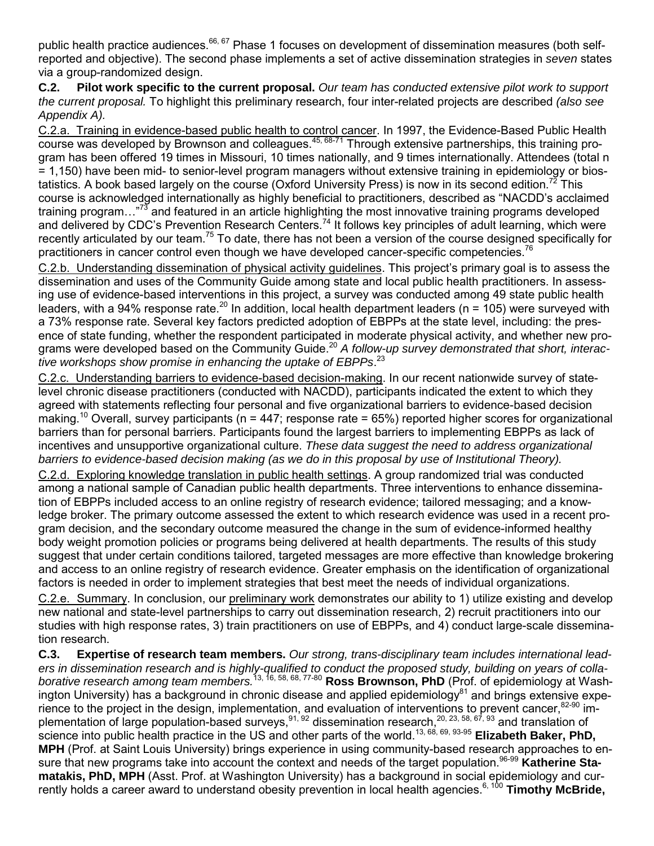public health practice audiences.<sup>66, 67</sup> Phase 1 focuses on development of dissemination measures (both selfreported and objective). The second phase implements a set of active dissemination strategies in *seven* states via a group-randomized design.

**C.2. Pilot work specific to the current proposal.** *Our team has conducted extensive pilot work to support the current proposal.* To highlight this preliminary research, four inter-related projects are described *(also see Appendix A).*

C.2.a. Training in evidence-based public health to control cancer. In 1997, the Evidence-Based Public Health course was developed by Brownson and colleagues.<sup>45, 68-71</sup> Through extensive partnerships, this training program has been offered 19 times in Missouri, 10 times nationally, and 9 times internationally. Attendees (total n = 1,150) have been mid- to senior-level program managers without extensive training in epidemiology or biostatistics. A book based largely on the course (Oxford University Press) is now in its second edition.<sup>72</sup> This course is acknowledged internationally as highly beneficial to practitioners, described as "NACDD's acclaimed training program..."<sup>73</sup> and featured in an article highlighting the most innovative training programs developed and delivered by CDC's Prevention Research Centers.<sup>74</sup> It follows key principles of adult learning, which were recently articulated by our team.<sup>75</sup> To date, there has not been a version of the course designed specifically for practitioners in cancer control even though we have developed cancer-specific competencies.<sup>76</sup>

C.2.b. Understanding dissemination of physical activity guidelines. This project's primary goal is to assess the dissemination and uses of the Community Guide among state and local public health practitioners. In assessing use of evidence-based interventions in this project, a survey was conducted among 49 state public health leaders, with a 94% response rate.<sup>20</sup> In addition, local health department leaders ( $n = 105$ ) were surveyed with a 73% response rate. Several key factors predicted adoption of EBPPs at the state level, including: the presence of state funding, whether the respondent participated in moderate physical activity, and whether new programs were developed based on the Community Guide.<sup>20</sup> *A follow-up survey demonstrated that short, interactive workshops show promise in enhancing the uptake of EBPPs*. 23

C.2.c. Understanding barriers to evidence-based decision-making. In our recent nationwide survey of statelevel chronic disease practitioners (conducted with NACDD), participants indicated the extent to which they agreed with statements reflecting four personal and five organizational barriers to evidence-based decision making.<sup>10</sup> Overall, survey participants ( $n = 447$ ; response rate = 65%) reported higher scores for organizational barriers than for personal barriers. Participants found the largest barriers to implementing EBPPs as lack of incentives and unsupportive organizational culture. *These data suggest the need to address organizational barriers to evidence-based decision making (as we do in this proposal by use of Institutional Theory).* 

C.2.d. Exploring knowledge translation in public health settings. A group randomized trial was conducted among a national sample of Canadian public health departments. Three interventions to enhance dissemination of EBPPs included access to an online registry of research evidence; tailored messaging; and a knowledge broker. The primary outcome assessed the extent to which research evidence was used in a recent program decision, and the secondary outcome measured the change in the sum of evidence-informed healthy body weight promotion policies or programs being delivered at health departments. The results of this study suggest that under certain conditions tailored, targeted messages are more effective than knowledge brokering and access to an online registry of research evidence. Greater emphasis on the identification of organizational factors is needed in order to implement strategies that best meet the needs of individual organizations.

C.2.e. Summary. In conclusion, our preliminary work demonstrates our ability to 1) utilize existing and develop new national and state-level partnerships to carry out dissemination research, 2) recruit practitioners into our studies with high response rates, 3) train practitioners on use of EBPPs, and 4) conduct large-scale dissemination research.

**C.3. Expertise of research team members.** *Our strong, trans-disciplinary team includes international leaders in dissemination research and is highly-qualified to conduct the proposed study, building on years of collaborative research among team members.*13, 16, 58, 68, 77-80 **Ross Brownson, PhD** (Prof. of epidemiology at Washington University) has a background in chronic disease and applied epidemiology $^{81}$  and brings extensive experience to the project in the design, implementation, and evaluation of interventions to prevent cancer,<sup>82-90</sup> implementation of large population-based surveys,  $91, 92$  dissemination research,  $20, 23, 58, 67, 93$  and translation of science into public health practice in the US and other parts of the world. 13, 68, 69, 93-95 **Elizabeth Baker, PhD, MPH** (Prof. at Saint Louis University) brings experience in using community-based research approaches to ensure that new programs take into account the context and needs of the target population. 96-99 **Katherine Stamatakis, PhD, MPH** (Asst. Prof. at Washington University) has a background in social epidemiology and currently holds a career award to understand obesity prevention in local health agencies. 6, 100 **Timothy McBride,**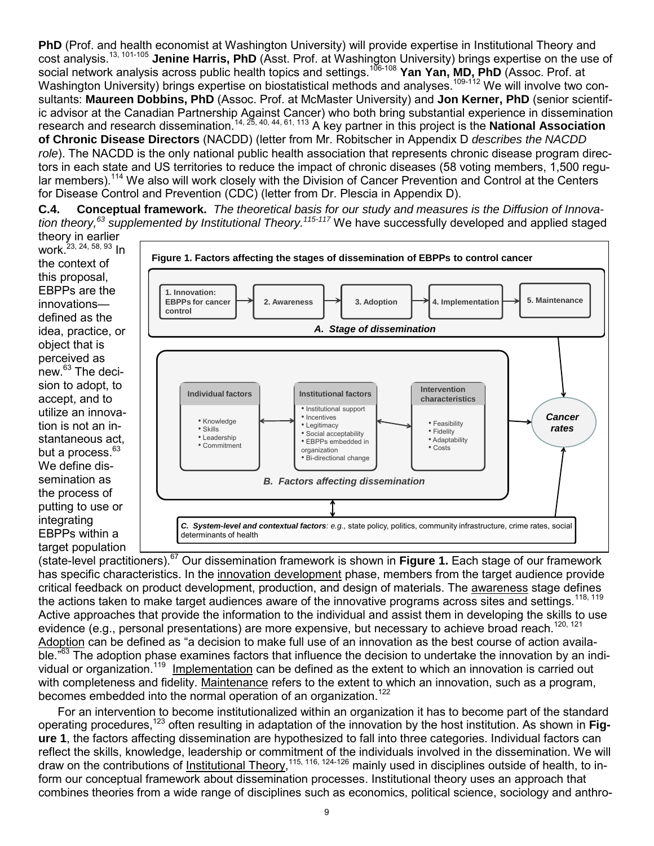**PhD** (Prof. and health economist at Washington University) will provide expertise in Institutional Theory and cost analysis.13, 101-105 **Jenine Harris, PhD** (Asst. Prof. at Washington University) brings expertise on the use of social network analysis across public health topics and settings.106-108 **Yan Yan, MD, PhD** (Assoc. Prof. at Washington University) brings expertise on biostatistical methods and analyses.<sup>109-112</sup> We will involve two consultants: **Maureen Dobbins, PhD** (Assoc. Prof. at McMaster University) and **Jon Kerner, PhD** (senior scientific advisor at the Canadian Partnership Against Cancer) who both bring substantial experience in dissemination research and research dissemination.<sup>14, 25, 40, 44, 61, 113</sup> A key partner in this project is the **National Association of Chronic Disease Directors** (NACDD) (letter from Mr. Robitscher in Appendix D *describes the NACDD role*). The NACDD is the only national public health association that represents chronic disease program directors in each state and US territories to reduce the impact of chronic diseases (58 voting members, 1,500 regular members).<sup>114</sup> We also will work closely with the Division of Cancer Prevention and Control at the Centers for Disease Control and Prevention (CDC) (letter from Dr. Plescia in Appendix D).

**C.4. Conceptual framework.** *The theoretical basis for our study and measures is the Diffusion of Innovation theory, <sup>63</sup> supplemented by Institutional Theory. 115-117* We have successfully developed and applied staged

theory in earlier work  $^{23, 24, 58, 93}$  In the context of this proposal, EBPPs are the innovations defined as the idea, practice, or object that is perceived as  $new<sup>63</sup>$  The decision to adopt, to accept, and to utilize an innovation is not an instantaneous act, but a process.<sup>63</sup> We define dissemination as the process of putting to use or integrating EBPPs within a target population



(state-level practitioners). <sup>67</sup> Our dissemination framework is shown in **Figure 1.** Each stage of our framework has specific characteristics. In the innovation development phase, members from the target audience provide critical feedback on product development, production, and design of materials. The awareness stage defines the actions taken to make target audiences aware of the innovative programs across sites and settings.<sup>118, 119</sup> Active approaches that provide the information to the individual and assist them in developing the skills to use evidence (e.g., personal presentations) are more expensive, but necessary to achieve broad reach.<sup>120, 121</sup> Adoption can be defined as "a decision to make full use of an innovation as the best course of action available.<sup>"63</sup> The adoption phase examines factors that influence the decision to undertake the innovation by an individual or organization.<sup>119</sup> Implementation can be defined as the extent to which an innovation is carried out with completeness and fidelity. Maintenance refers to the extent to which an innovation, such as a program, becomes embedded into the normal operation of an organization.<sup>122</sup>

For an intervention to become institutionalized within an organization it has to become part of the standard operating procedures,<sup>123</sup> often resulting in adaptation of the innovation by the host institution. As shown in **Figure 1**, the factors affecting dissemination are hypothesized to fall into three categories. Individual factors can reflect the skills, knowledge, leadership or commitment of the individuals involved in the dissemination. We will draw on the contributions of <u>Institutional Theory</u>,<sup>115, 116, 124-126</sup> mainly used in disciplines outside of health, to inform our conceptual framework about dissemination processes. Institutional theory uses an approach that combines theories from a wide range of disciplines such as economics, political science, sociology and anthro-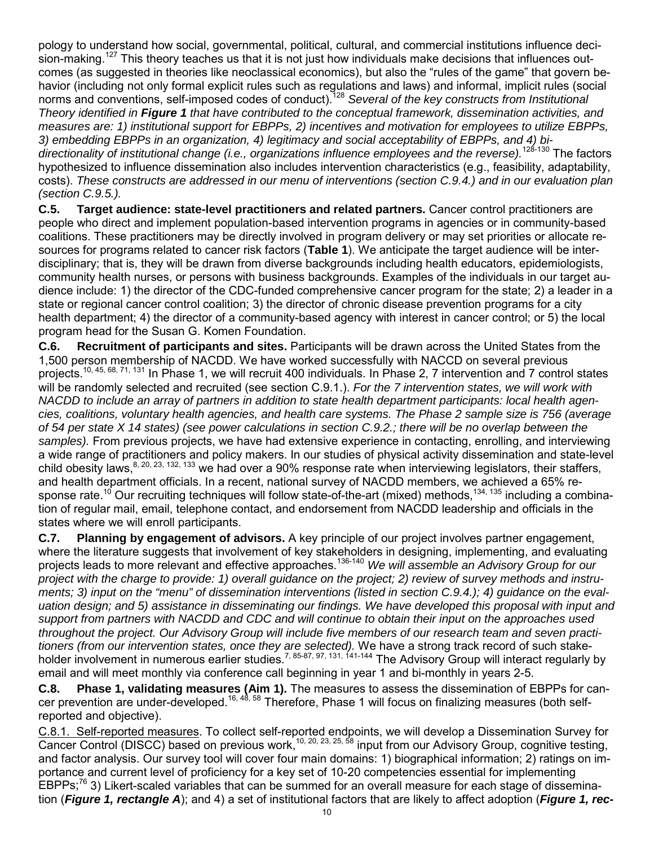pology to understand how social, governmental, political, cultural, and commercial institutions influence decision-making.<sup>127</sup> This theory teaches us that it is not just how individuals make decisions that influences outcomes (as suggested in theories like neoclassical economics), but also the "rules of the game" that govern behavior (including not only formal explicit rules such as regulations and laws) and informal, implicit rules (social norms and conventions, self-imposed codes of conduct).<sup>128</sup> *Several of the key constructs from Institutional Theory identified in Figure 1 that have contributed to the conceptual framework, dissemination activities, and measures are: 1) institutional support for EBPPs, 2) incentives and motivation for employees to utilize EBPPs, 3) embedding EBPPs in an organization, 4) legitimacy and social acceptability of EBPPs, and 4) bidirectionality of institutional change (i.e., organizations influence employees and the reverse).*128-130 The factors hypothesized to influence dissemination also includes intervention characteristics (e.g., feasibility, adaptability, costs). *These constructs are addressed in our menu of interventions (section C.9.4.) and in our evaluation plan (section C.9.5.).* 

**C.5. Target audience: state-level practitioners and related partners.** Cancer control practitioners are people who direct and implement population-based intervention programs in agencies or in community-based coalitions. These practitioners may be directly involved in program delivery or may set priorities or allocate resources for programs related to cancer risk factors (**Table 1**). We anticipate the target audience will be interdisciplinary; that is, they will be drawn from diverse backgrounds including health educators, epidemiologists, community health nurses, or persons with business backgrounds. Examples of the individuals in our target audience include: 1) the director of the CDC-funded comprehensive cancer program for the state; 2) a leader in a state or regional cancer control coalition; 3) the director of chronic disease prevention programs for a city health department; 4) the director of a community-based agency with interest in cancer control; or 5) the local program head for the Susan G. Komen Foundation.

**C.6. Recruitment of participants and sites.** Participants will be drawn across the United States from the 1,500 person membership of NACDD. We have worked successfully with NACCD on several previous projects.10, 45, 68, 71, 131 In Phase 1, we will recruit 400 individuals. In Phase 2, 7 intervention and 7 control states will be randomly selected and recruited (see section C.9.1.). *For the 7 intervention states, we will work with NACDD to include an array of partners in addition to state health department participants: local health agencies, coalitions, voluntary health agencies, and health care systems. The Phase 2 sample size is 756 (average of 54 per state X 14 states) (see power calculations in section C.9.2.; there will be no overlap between the samples).* From previous projects, we have had extensive experience in contacting, enrolling, and interviewing a wide range of practitioners and policy makers. In our studies of physical activity dissemination and state-level child obesity laws, <sup>8, 20, 23, 132, 133</sup> we had over a 90% response rate when interviewing legislators, their staffers, and health department officials. In a recent, national survey of NACDD members, we achieved a 65% response rate.<sup>10</sup> Our recruiting techniques will follow state-of-the-art (mixed) methods,<sup>134, 135</sup> including a combination of regular mail, email, telephone contact, and endorsement from NACDD leadership and officials in the states where we will enroll participants.

**C.7. Planning by engagement of advisors.** A key principle of our project involves partner engagement, where the literature suggests that involvement of key stakeholders in designing, implementing, and evaluating projects leads to more relevant and effective approaches.136-140 *We will assemble an Advisory Group for our project with the charge to provide: 1) overall guidance on the project; 2) review of survey methods and instruments; 3) input on the "menu" of dissemination interventions (listed in section C.9.4.); 4) guidance on the evaluation design; and 5) assistance in disseminating our findings. We have developed this proposal with input and support from partners with NACDD and CDC and will continue to obtain their input on the approaches used throughout the project. Our Advisory Group will include five members of our research team and seven practitioners (from our intervention states, once they are selected).* We have a strong track record of such stakeholder involvement in numerous earlier studies.<sup>7, 85-87, 97, 131, 141-144</sup> The Advisory Group will interact regularly by email and will meet monthly via conference call beginning in year 1 and bi-monthly in years 2-5.

**C.8. Phase 1, validating measures (Aim 1).** The measures to assess the dissemination of EBPPs for cancer prevention are under-developed.<sup>16, 48, 58</sup> Therefore, Phase 1 will focus on finalizing measures (both selfreported and objective).

C.8.1. Self-reported measures. To collect self-reported endpoints, we will develop a Dissemination Survey for Cancer Control (DISCC) based on previous work,<sup>10, 20, 23, 25, 58</sup> input from our Advisory Group, cognitive testing, and factor analysis. Our survey tool will cover four main domains: 1) biographical information; 2) ratings on importance and current level of proficiency for a key set of 10-20 competencies essential for implementing EBPPs;<sup>76</sup> 3) Likert-scaled variables that can be summed for an overall measure for each stage of dissemination (*Figure 1, rectangle A*); and 4) a set of institutional factors that are likely to affect adoption (*Figure 1, rec-*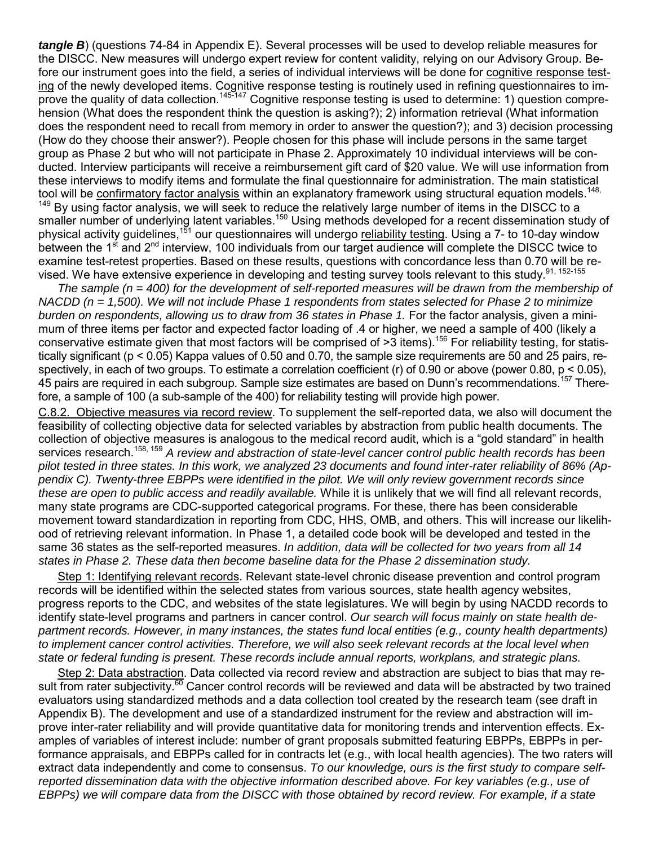*tangle B*) (questions 74-84 in Appendix E). Several processes will be used to develop reliable measures for the DISCC. New measures will undergo expert review for content validity, relying on our Advisory Group. Before our instrument goes into the field, a series of individual interviews will be done for cognitive response testing of the newly developed items. Cognitive response testing is routinely used in refining questionnaires to improve the quality of data collection.<sup>145-147</sup> Cognitive response testing is used to determine: 1) question comprehension (What does the respondent think the question is asking?); 2) information retrieval (What information does the respondent need to recall from memory in order to answer the question?); and 3) decision processing (How do they choose their answer?). People chosen for this phase will include persons in the same target group as Phase 2 but who will not participate in Phase 2. Approximately 10 individual interviews will be conducted. Interview participants will receive a reimbursement gift card of \$20 value. We will use information from these interviews to modify items and formulate the final questionnaire for administration. The main statistical tool will be confirmatory factor analysis within an explanatory framework using structural equation models.<sup>148,</sup> <sup>149</sup> By using factor analysis, we will seek to reduce the relatively large number of items in the DISCC to a smaller number of underlying latent variables.<sup>150</sup> Using methods developed for a recent dissemination study of physical activity guidelines,<sup>151</sup> our questionnaires will undergo reliability testing. Using a 7- to 10-day window between the 1<sup>st</sup> and 2<sup>nd</sup> interview, 100 individuals from our target audience will complete the DISCC twice to examine test-retest properties. Based on these results, questions with concordance less than 0.70 will be revised. We have extensive experience in developing and testing survey tools relevant to this study.<sup>91, 152-155</sup>

*The sample (n = 400) for the development of self-reported measures will be drawn from the membership of NACDD (n = 1,500). We will not include Phase 1 respondents from states selected for Phase 2 to minimize burden on respondents, allowing us to draw from 36 states in Phase 1.* For the factor analysis, given a minimum of three items per factor and expected factor loading of .4 or higher, we need a sample of 400 (likely a conservative estimate given that most factors will be comprised of >3 items).<sup>156</sup> For reliability testing, for statistically significant (p < 0.05) Kappa values of 0.50 and 0.70, the sample size requirements are 50 and 25 pairs, respectively, in each of two groups. To estimate a correlation coefficient (r) of 0.90 or above (power 0.80, p < 0.05), 45 pairs are required in each subgroup. Sample size estimates are based on Dunn's recommendations.<sup>157</sup> Therefore, a sample of 100 (a sub-sample of the 400) for reliability testing will provide high power.

C.8.2. Objective measures via record review. To supplement the self-reported data, we also will document the feasibility of collecting objective data for selected variables by abstraction from public health documents. The collection of objective measures is analogous to the medical record audit, which is a "gold standard" in health services research.158, 159 *A review and abstraction of state-level cancer control public health records has been pilot tested in three states. In this work, we analyzed 23 documents and found inter-rater reliability of 86% (Appendix C). Twenty-three EBPPs were identified in the pilot. We will only review government records since these are open to public access and readily available.* While it is unlikely that we will find all relevant records, many state programs are CDC-supported categorical programs. For these, there has been considerable movement toward standardization in reporting from CDC, HHS, OMB, and others. This will increase our likelihood of retrieving relevant information. In Phase 1, a detailed code book will be developed and tested in the same 36 states as the self-reported measures. *In addition, data will be collected for two years from all 14 states in Phase 2. These data then become baseline data for the Phase 2 dissemination study.*

Step 1: Identifying relevant records. Relevant state-level chronic disease prevention and control program records will be identified within the selected states from various sources, state health agency websites, progress reports to the CDC, and websites of the state legislatures. We will begin by using NACDD records to identify state-level programs and partners in cancer control. *Our search will focus mainly on state health department records. However, in many instances, the states fund local entities (e.g., county health departments) to implement cancer control activities. Therefore, we will also seek relevant records at the local level when state or federal funding is present. These records include annual reports, workplans, and strategic plans.*

Step 2: Data abstraction. Data collected via record review and abstraction are subject to bias that may result from rater subjectivity.<sup>60</sup> Cancer control records will be reviewed and data will be abstracted by two trained evaluators using standardized methods and a data collection tool created by the research team (see draft in Appendix B). The development and use of a standardized instrument for the review and abstraction will improve inter-rater reliability and will provide quantitative data for monitoring trends and intervention effects. Examples of variables of interest include: number of grant proposals submitted featuring EBPPs, EBPPs in performance appraisals, and EBPPs called for in contracts let (e.g., with local health agencies). The two raters will extract data independently and come to consensus. *To our knowledge, ours is the first study to compare selfreported dissemination data with the objective information described above. For key variables (e.g., use of EBPPs) we will compare data from the DISCC with those obtained by record review. For example, if a state*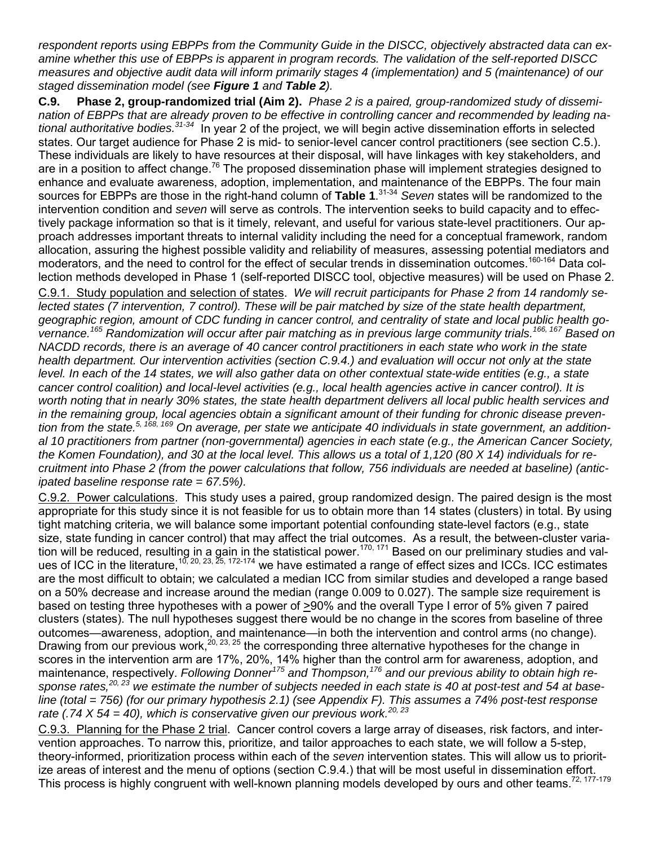*respondent reports using EBPPs from the Community Guide in the DISCC, objectively abstracted data can examine whether this use of EBPPs is apparent in program records. The validation of the self-reported DISCC measures and objective audit data will inform primarily stages 4 (implementation) and 5 (maintenance) of our staged dissemination model (see Figure 1 and Table 2).*

**C.9. Phase 2, group-randomized trial (Aim 2).** *Phase 2 is a paired, group-randomized study of dissemination of EBPPs that are already proven to be effective in controlling cancer and recommended by leading national authoritative bodies. 31-34* In year 2 of the project, we will begin active dissemination efforts in selected states. Our target audience for Phase 2 is mid- to senior-level cancer control practitioners (see section C.5.). These individuals are likely to have resources at their disposal, will have linkages with key stakeholders, and are in a position to affect change.<sup>76</sup> The proposed dissemination phase will implement strategies designed to enhance and evaluate awareness, adoption, implementation, and maintenance of the EBPPs. The four main sources for EBPPs are those in the right-hand column of **Table 1**. 31-34 *Seven* states will be randomized to the intervention condition and *seven* will serve as controls. The intervention seeks to build capacity and to effectively package information so that is it timely, relevant, and useful for various state-level practitioners. Our approach addresses important threats to internal validity including the need for a conceptual framework, random allocation, assuring the highest possible validity and reliability of measures, assessing potential mediators and moderators, and the need to control for the effect of secular trends in dissemination outcomes.<sup>160-164</sup> Data collection methods developed in Phase 1 (self-reported DISCC tool, objective measures) will be used on Phase 2. C.9.1. Study population and selection of states. *We will recruit participants for Phase 2 from 14 randomly selected states (7 intervention, 7 control). These will be pair matched by size of the state health department, geographic region, amount of CDC funding in cancer control, and centrality of state and local public health governance. <sup>165</sup> Randomization will occur after pair matching as in previous large community trials. 166, 167 Based on NACDD records, there is an average of 40 cancer control practitioners in each state who work in the state health department. Our intervention activities (section C.9.4.) and evaluation will occur not only at the state level. In each of the 14 states, we will also gather data on other contextual state-wide entities (e.g., a state cancer control coalition) and local-level activities (e.g., local health agencies active in cancer control). It is worth noting that in nearly 30% states, the state health department delivers all local public health services and in the remaining group, local agencies obtain a significant amount of their funding for chronic disease prevention from the state.5, 168, 169 On average, per state we anticipate 40 individuals in state government, an additional 10 practitioners from partner (non-governmental) agencies in each state (e.g., the American Cancer Society, the Komen Foundation), and 30 at the local level. This allows us a total of 1,120 (80 X 14) individuals for recruitment into Phase 2 (from the power calculations that follow, 756 individuals are needed at baseline) (anticipated baseline response rate = 67.5%).*

C.9.2. Power calculations. This study uses a paired, group randomized design. The paired design is the most appropriate for this study since it is not feasible for us to obtain more than 14 states (clusters) in total. By using tight matching criteria, we will balance some important potential confounding state-level factors (e.g., state size, state funding in cancer control) that may affect the trial outcomes. As a result, the between-cluster variation will be reduced, resulting in a gain in the statistical power.<sup>170, 171</sup> Based on our preliminary studies and values of ICC in the literature,  $10, 20, 23, 25, 172-174$  we have estimated a range of effect sizes and ICCs. ICC estimates are the most difficult to obtain; we calculated a median ICC from similar studies and developed a range based on a 50% decrease and increase around the median (range 0.009 to 0.027). The sample size requirement is based on testing three hypotheses with a power of >90% and the overall Type I error of 5% given 7 paired clusters (states). The null hypotheses suggest there would be no change in the scores from baseline of three outcomes—awareness, adoption, and maintenance—in both the intervention and control arms (no change). Drawing from our previous work,<sup>20, 23, 25</sup> the corresponding three alternative hypotheses for the change in scores in the intervention arm are 17%, 20%, 14% higher than the control arm for awareness, adoption, and maintenance, respectively. *Following Donner<sup>175</sup> and Thompson, <sup>176</sup> and our previous ability to obtain high response rates,20, 23 we estimate the number of subjects needed in each state is 40 at post-test and 54 at baseline (total = 756) (for our primary hypothesis 2.1) (see Appendix F). This assumes a 74% post-test response rate (.74 X 54 = 40), which is conservative given our previous work.20, 23*

C.9.3. Planning for the Phase 2 trial. Cancer control covers a large array of diseases, risk factors, and intervention approaches. To narrow this, prioritize, and tailor approaches to each state, we will follow a 5-step, theory-informed, prioritization process within each of the *seven* intervention states. This will allow us to prioritize areas of interest and the menu of options (section C.9.4.) that will be most useful in dissemination effort. This process is highly congruent with well-known planning models developed by ours and other teams.<sup>72, 177-179</sup>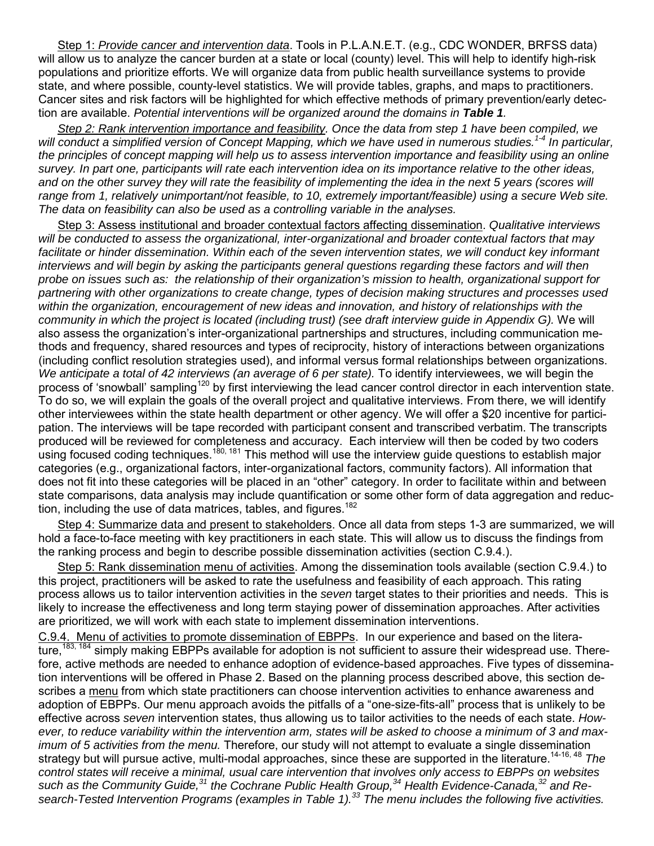Step 1: *Provide cancer and intervention data*. Tools in P.L.A.N.E.T. (e.g., CDC WONDER, BRFSS data) will allow us to analyze the cancer burden at a state or local (county) level. This will help to identify high-risk populations and prioritize efforts. We will organize data from public health surveillance systems to provide state, and where possible, county-level statistics. We will provide tables, graphs, and maps to practitioners. Cancer sites and risk factors will be highlighted for which effective methods of primary prevention/early detection are available. *Potential interventions will be organized around the domains in Table 1.*

*Step 2: Rank intervention importance and feasibility. Once the data from step 1 have been compiled, we will conduct a simplified version of Concept Mapping, which we have used in numerous studies.1-4 In particular, the principles of concept mapping will help us to assess intervention importance and feasibility using an online survey. In part one, participants will rate each intervention idea on its importance relative to the other ideas,*  and on the other survey they will rate the feasibility of implementing the idea in the next 5 years (scores will range from 1, relatively unimportant/not feasible, to 10, extremely important/feasible) using a secure Web site. *The data on feasibility can also be used as a controlling variable in the analyses.* 

Step 3: Assess institutional and broader contextual factors affecting dissemination. *Qualitative interviews will be conducted to assess the organizational, inter-organizational and broader contextual factors that may facilitate or hinder dissemination. Within each of the seven intervention states, we will conduct key informant interviews and will begin by asking the participants general questions regarding these factors and will then probe on issues such as: the relationship of their organization's mission to health, organizational support for partnering with other organizations to create change, types of decision making structures and processes used within the organization, encouragement of new ideas and innovation, and history of relationships with the community in which the project is located (including trust) (see draft interview guide in Appendix G).* We will also assess the organization's inter-organizational partnerships and structures, including communication methods and frequency, shared resources and types of reciprocity, history of interactions between organizations (including conflict resolution strategies used), and informal versus formal relationships between organizations. *We anticipate a total of 42 interviews (an average of 6 per state).* To identify interviewees, we will begin the process of 'snowball' sampling<sup>120</sup> by first interviewing the lead cancer control director in each intervention state. To do so, we will explain the goals of the overall project and qualitative interviews. From there, we will identify other interviewees within the state health department or other agency. We will offer a \$20 incentive for participation. The interviews will be tape recorded with participant consent and transcribed verbatim. The transcripts produced will be reviewed for completeness and accuracy. Each interview will then be coded by two coders using focused coding techniques.<sup>180, 181</sup> This method will use the interview guide questions to establish major categories (e.g., organizational factors, inter-organizational factors, community factors). All information that does not fit into these categories will be placed in an "other" category. In order to facilitate within and between state comparisons, data analysis may include quantification or some other form of data aggregation and reduction, including the use of data matrices, tables, and figures.<sup>182</sup>

Step 4: Summarize data and present to stakeholders. Once all data from steps 1-3 are summarized, we will hold a face-to-face meeting with key practitioners in each state. This will allow us to discuss the findings from the ranking process and begin to describe possible dissemination activities (section C.9.4.).

Step 5: Rank dissemination menu of activities. Among the dissemination tools available (section C.9.4.) to this project, practitioners will be asked to rate the usefulness and feasibility of each approach. This rating process allows us to tailor intervention activities in the *seven* target states to their priorities and needs. This is likely to increase the effectiveness and long term staying power of dissemination approaches. After activities are prioritized, we will work with each state to implement dissemination interventions.

C.9.4. Menu of activities to promote dissemination of EBPPs. In our experience and based on the literature,<sup>183, 184</sup> simply making EBPPs available for adoption is not sufficient to assure their widespread use. Therefore, active methods are needed to enhance adoption of evidence-based approaches. Five types of dissemination interventions will be offered in Phase 2. Based on the planning process described above, this section describes a menu from which state practitioners can choose intervention activities to enhance awareness and adoption of EBPPs. Our menu approach avoids the pitfalls of a "one-size-fits-all" process that is unlikely to be effective across *seven* intervention states, thus allowing us to tailor activities to the needs of each state. *However, to reduce variability within the intervention arm, states will be asked to choose a minimum of 3 and maximum of 5 activities from the menu.* Therefore, our study will not attempt to evaluate a single dissemination strategy but will pursue active, multi-modal approaches, since these are supported in the literature.<sup>14-16, 48</sup> The *control states will receive a minimal, usual care intervention that involves only access to EBPPs on websites such as the Community Guide,<sup>31</sup> the Cochrane Public Health Group,<sup>34</sup> Health Evidence-Canada, <sup>32</sup> and Research-Tested Intervention Programs (examples in Table 1). <sup>33</sup> The menu includes the following five activities.*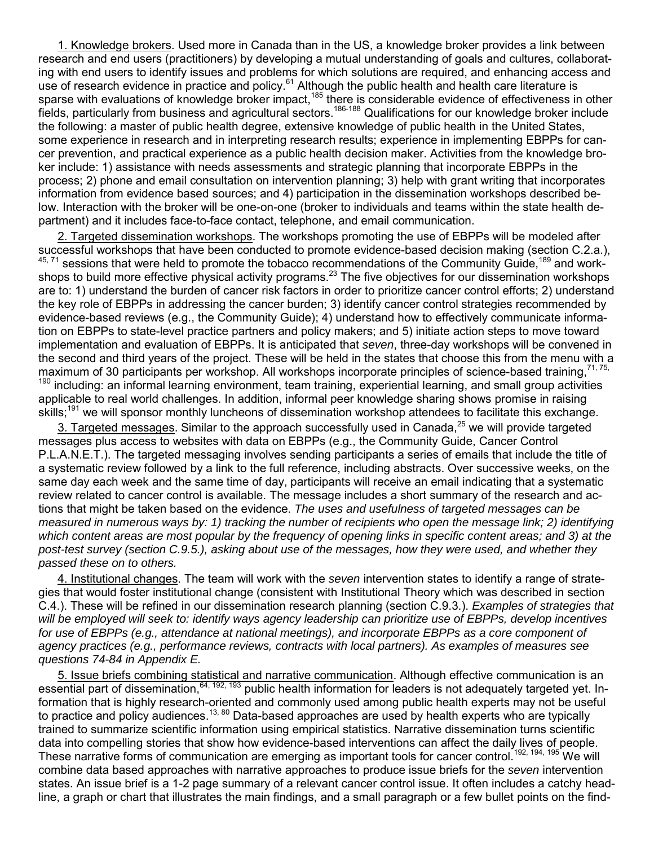1. Knowledge brokers. Used more in Canada than in the US, a knowledge broker provides a link between research and end users (practitioners) by developing a mutual understanding of goals and cultures, collaborating with end users to identify issues and problems for which solutions are required, and enhancing access and use of research evidence in practice and policy.<sup>61</sup> Although the public health and health care literature is sparse with evaluations of knowledge broker impact,<sup>185</sup> there is considerable evidence of effectiveness in other fields, particularly from business and agricultural sectors.186-188 Qualifications for our knowledge broker include the following: a master of public health degree, extensive knowledge of public health in the United States, some experience in research and in interpreting research results; experience in implementing EBPPs for cancer prevention, and practical experience as a public health decision maker. Activities from the knowledge broker include: 1) assistance with needs assessments and strategic planning that incorporate EBPPs in the process; 2) phone and email consultation on intervention planning; 3) help with grant writing that incorporates information from evidence based sources; and 4) participation in the dissemination workshops described below. Interaction with the broker will be one-on-one (broker to individuals and teams within the state health department) and it includes face-to-face contact, telephone, and email communication.

2. Targeted dissemination workshops. The workshops promoting the use of EBPPs will be modeled after successful workshops that have been conducted to promote evidence-based decision making (section C.2.a.), <sup>45, 71</sup> sessions that were held to promote the tobacco recommendations of the Community Guide, <sup>189</sup> and workshops to build more effective physical activity programs.<sup>23</sup> The five objectives for our dissemination workshops are to: 1) understand the burden of cancer risk factors in order to prioritize cancer control efforts; 2) understand the key role of EBPPs in addressing the cancer burden; 3) identify cancer control strategies recommended by evidence-based reviews (e.g., the Community Guide); 4) understand how to effectively communicate information on EBPPs to state-level practice partners and policy makers; and 5) initiate action steps to move toward implementation and evaluation of EBPPs. It is anticipated that *seven*, three-day workshops will be convened in the second and third years of the project. These will be held in the states that choose this from the menu with a maximum of 30 participants per workshop. All workshops incorporate principles of science-based training.<sup>71, 75,</sup> <sup>190</sup> including: an informal learning environment, team training, experiential learning, and small group activities applicable to real world challenges. In addition, informal peer knowledge sharing shows promise in raising skills;<sup>191</sup> we will sponsor monthly luncheons of dissemination workshop attendees to facilitate this exchange.

3. Targeted messages. Similar to the approach successfully used in Canada,<sup>25</sup> we will provide targeted messages plus access to websites with data on EBPPs (e.g., the Community Guide, Cancer Control P.L.A.N.E.T.). The targeted messaging involves sending participants a series of emails that include the title of a systematic review followed by a link to the full reference, including abstracts. Over successive weeks, on the same day each week and the same time of day, participants will receive an email indicating that a systematic review related to cancer control is available. The message includes a short summary of the research and actions that might be taken based on the evidence. *The uses and usefulness of targeted messages can be measured in numerous ways by: 1) tracking the number of recipients who open the message link; 2) identifying which content areas are most popular by the frequency of opening links in specific content areas; and 3) at the post-test survey (section C.9.5.), asking about use of the messages, how they were used, and whether they passed these on to others.*

4. Institutional changes. The team will work with the *seven* intervention states to identify a range of strategies that would foster institutional change (consistent with Institutional Theory which was described in section C.4.). These will be refined in our dissemination research planning (section C.9.3.). *Examples of strategies that will be employed will seek to: identify ways agency leadership can prioritize use of EBPPs, develop incentives*  for use of EBPPs (e.g., attendance at national meetings), and incorporate EBPPs as a core component of *agency practices (e.g., performance reviews, contracts with local partners). As examples of measures see questions 74-84 in Appendix E.* 

5. Issue briefs combining statistical and narrative communication. Although effective communication is an essential part of dissemination,<sup>64, 192, 193</sup> public health information for leaders is not adequately targeted yet. Information that is highly research-oriented and commonly used among public health experts may not be useful to practice and policy audiences.<sup>13, 80</sup> Data-based approaches are used by health experts who are typically trained to summarize scientific information using empirical statistics. Narrative dissemination turns scientific data into compelling stories that show how evidence-based interventions can affect the daily lives of people. These narrative forms of communication are emerging as important tools for cancer control.<sup>192, 194, 195</sup> We will combine data based approaches with narrative approaches to produce issue briefs for the *seven* intervention states. An issue brief is a 1-2 page summary of a relevant cancer control issue. It often includes a catchy headline, a graph or chart that illustrates the main findings, and a small paragraph or a few bullet points on the find-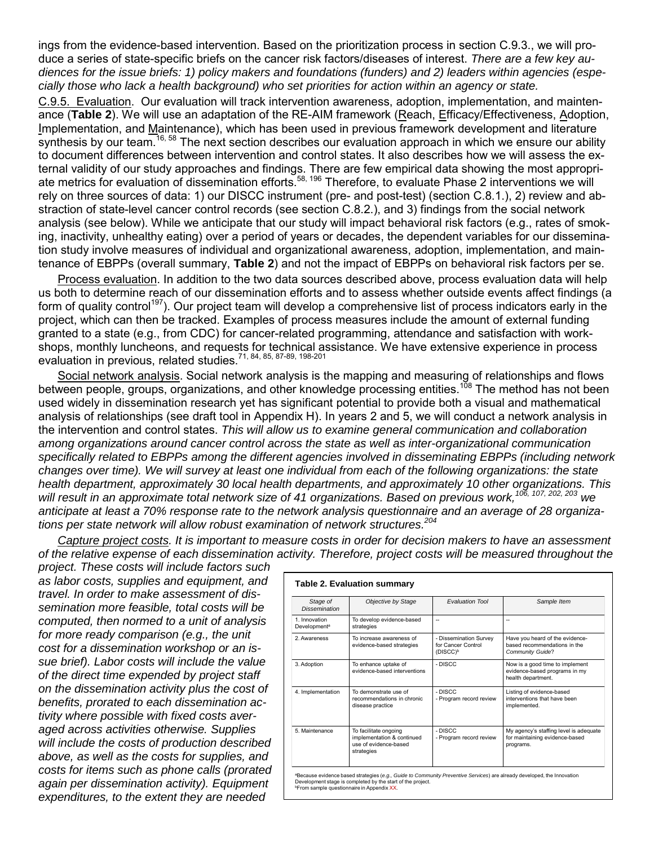ings from the evidence-based intervention. Based on the prioritization process in section C.9.3., we will produce a series of state-specific briefs on the cancer risk factors/diseases of interest. *There are a few key audiences for the issue briefs: 1) policy makers and foundations (funders) and 2) leaders within agencies (especially those who lack a health background) who set priorities for action within an agency or state.*

C.9.5. Evaluation. Our evaluation will track intervention awareness, adoption, implementation, and maintenance (**Table 2**). We will use an adaptation of the RE-AIM framework (Reach, Efficacy/Effectiveness, Adoption, Implementation, and Maintenance), which has been used in previous framework development and literature synthesis by our team.<sup>16, 58</sup> The next section describes our evaluation approach in which we ensure our ability to document differences between intervention and control states. It also describes how we will assess the external validity of our study approaches and findings. There are few empirical data showing the most appropriate metrics for evaluation of dissemination efforts.<sup>58, 196</sup> Therefore, to evaluate Phase 2 interventions we will rely on three sources of data: 1) our DISCC instrument (pre- and post-test) (section C.8.1.), 2) review and abstraction of state-level cancer control records (see section C.8.2.), and 3) findings from the social network analysis (see below). While we anticipate that our study will impact behavioral risk factors (e.g., rates of smoking, inactivity, unhealthy eating) over a period of years or decades, the dependent variables for our dissemination study involve measures of individual and organizational awareness, adoption, implementation, and maintenance of EBPPs (overall summary, **Table 2**) and not the impact of EBPPs on behavioral risk factors per se.

Process evaluation. In addition to the two data sources described above, process evaluation data will help us both to determine reach of our dissemination efforts and to assess whether outside events affect findings (a form of quality control<sup>197</sup>). Our project team will develop a comprehensive list of process indicators early in the project, which can then be tracked. Examples of process measures include the amount of external funding granted to a state (e.g., from CDC) for cancer-related programming, attendance and satisfaction with workshops, monthly luncheons, and requests for technical assistance. We have extensive experience in process evaluation in previous, related studies.<sup>71, 84, 85, 87-89, 198-201</sup>

Social network analysis. Social network analysis is the mapping and measuring of relationships and flows between people, groups, organizations, and other knowledge processing entities.<sup>108</sup> The method has not been used widely in dissemination research yet has significant potential to provide both a visual and mathematical analysis of relationships (see draft tool in Appendix H). In years 2 and 5, we will conduct a network analysis in the intervention and control states. *This will allow us to examine general communication and collaboration among organizations around cancer control across the state as well as inter-organizational communication specifically related to EBPPs among the different agencies involved in disseminating EBPPs (including network*  changes over time). We will survey at least one individual from each of the following organizations: the state *health department, approximately 30 local health departments, and approximately 10 other organizations. This will result in an approximate total network size of 41 organizations. Based on previous work,106, 107, 202, 203 we anticipate at least a 70% response rate to the network analysis questionnaire and an average of 28 organizations per state network will allow robust examination of network structures. 204*

*Capture project costs. It is important to measure costs in order for decision makers to have an assessment of the relative expense of each dissemination activity. Therefore, project costs will be measured throughout the* 

*project. These costs will include factors such as labor costs, supplies and equipment, and travel. In order to make assessment of dissemination more feasible, total costs will be computed, then normed to a unit of analysis for more ready comparison (e.g., the unit cost for a dissemination workshop or an issue brief). Labor costs will include the value of the direct time expended by project staff on the dissemination activity plus the cost of benefits, prorated to each dissemination activity where possible with fixed costs averaged across activities otherwise. Supplies will include the costs of production described above, as well as the costs for supplies, and costs for items such as phone calls (prorated again per dissemination activity). Equipment expenditures, to the extent they are needed* 

| Stage of<br><b>Dissemination</b>          | Objective by Stage                                                                         | <b>Evaluation Tool</b>                                               | Sample Item                                                                                |  |  |  |  |
|-------------------------------------------|--------------------------------------------------------------------------------------------|----------------------------------------------------------------------|--------------------------------------------------------------------------------------------|--|--|--|--|
| 1. Innovation<br>Development <sup>a</sup> | To develop evidence-based<br>strategies                                                    | $\overline{\phantom{a}}$                                             | --                                                                                         |  |  |  |  |
| 2. Awareness                              | To increase awareness of<br>evidence-based strategies                                      | - Dissemination Survey<br>for Cancer Control<br>(DISCC) <sup>b</sup> | Have you heard of the evidence-<br>based recommendations in the<br><b>Community Guide?</b> |  |  |  |  |
| 3. Adoption                               | To enhance uptake of<br>evidence-based interventions                                       | - DISCC                                                              | Now is a good time to implement<br>evidence-based programs in my<br>health department.     |  |  |  |  |
| 4. Implementation                         | To demonstrate use of<br>recommendations in chronic<br>disease practice                    | - DISCC<br>- Program record review                                   | Listing of evidence-based<br>interventions that have been<br>implemented.                  |  |  |  |  |
| 5. Maintenance                            | To facilitate ongoing<br>implementation & continued<br>use of evidence-based<br>strategies | - DISCC<br>- Program record review                                   | My agency's staffing level is adequate<br>for maintaining evidence-based<br>programs.      |  |  |  |  |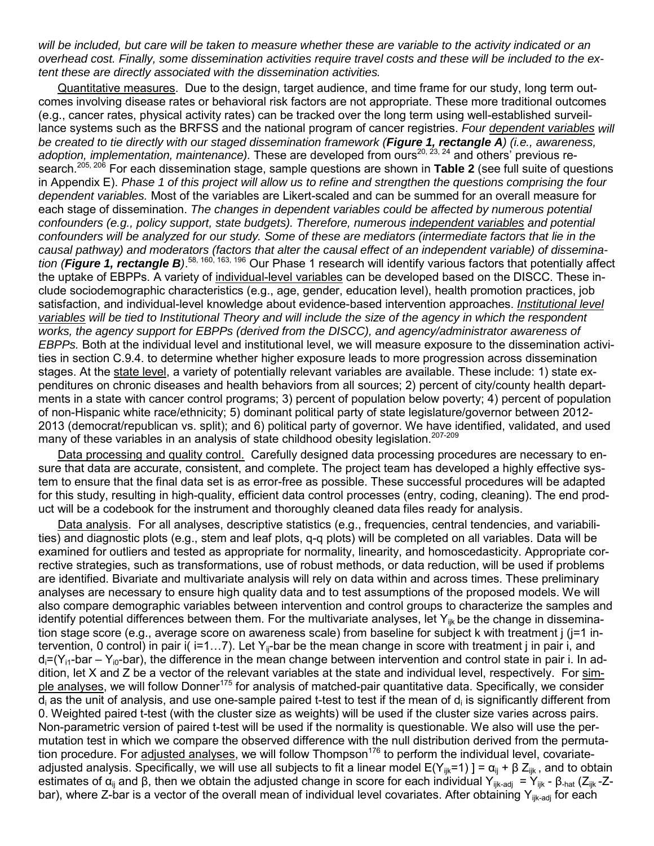*will be included, but care will be taken to measure whether these are variable to the activity indicated or an overhead cost. Finally, some dissemination activities require travel costs and these will be included to the extent these are directly associated with the dissemination activities.*

Quantitative measures. Due to the design, target audience, and time frame for our study, long term outcomes involving disease rates or behavioral risk factors are not appropriate. These more traditional outcomes (e.g., cancer rates, physical activity rates) can be tracked over the long term using well-established surveillance systems such as the BRFSS and the national program of cancer registries. *Four dependent variables will be created to tie directly with our staged dissemination framework (Figure 1, rectangle A) (i.e., awareness,*  adoption, implementation, maintenance). These are developed from ours<sup>20, 23, 24</sup> and others' previous research.205, 206 For each dissemination stage, sample questions are shown in **Table 2** (see full suite of questions in Appendix E). *Phase 1 of this project will allow us to refine and strengthen the questions comprising the four dependent variables.* Most of the variables are Likert-scaled and can be summed for an overall measure for each stage of dissemination. *The changes in dependent variables could be affected by numerous potential confounders (e.g., policy support, state budgets). Therefore, numerous independent variables and potential*  confounders will be analyzed for our study. Some of these are mediators (intermediate factors that lie in the *causal pathway) and moderators (factors that alter the causal effect of an independent variable) of dissemination (Figure 1, rectangle B)*. 58, 160, 163, 196 Our Phase 1 research will identify various factors that potentially affect the uptake of EBPPs. A variety of individual-level variables can be developed based on the DISCC. These include sociodemographic characteristics (e.g., age, gender, education level), health promotion practices, job satisfaction, and individual-level knowledge about evidence-based intervention approaches. *Institutional level variables will be tied to Institutional Theory and will include the size of the agency in which the respondent works, the agency support for EBPPs (derived from the DISCC), and agency/administrator awareness of EBPPs.* Both at the individual level and institutional level, we will measure exposure to the dissemination activities in section C.9.4. to determine whether higher exposure leads to more progression across dissemination stages. At the state level, a variety of potentially relevant variables are available. These include: 1) state expenditures on chronic diseases and health behaviors from all sources; 2) percent of city/county health departments in a state with cancer control programs; 3) percent of population below poverty; 4) percent of population of non-Hispanic white race/ethnicity; 5) dominant political party of state legislature/governor between 2012- 2013 (democrat/republican vs. split); and 6) political party of governor. We have identified, validated, and used many of these variables in an analysis of state childhood obesity legislation.<sup>207-209</sup>

Data processing and quality control. Carefully designed data processing procedures are necessary to ensure that data are accurate, consistent, and complete. The project team has developed a highly effective system to ensure that the final data set is as error-free as possible. These successful procedures will be adapted for this study, resulting in high-quality, efficient data control processes (entry, coding, cleaning). The end product will be a codebook for the instrument and thoroughly cleaned data files ready for analysis.

Data analysis. For all analyses, descriptive statistics (e.g., frequencies, central tendencies, and variabilities) and diagnostic plots (e.g., stem and leaf plots, q-q plots) will be completed on all variables. Data will be examined for outliers and tested as appropriate for normality, linearity, and homoscedasticity. Appropriate corrective strategies, such as transformations, use of robust methods, or data reduction, will be used if problems are identified. Bivariate and multivariate analysis will rely on data within and across times. These preliminary analyses are necessary to ensure high quality data and to test assumptions of the proposed models. We will also compare demographic variables between intervention and control groups to characterize the samples and identify potential differences between them. For the multivariate analyses, let  $Y_{ijk}$  be the change in dissemination stage score (e.g., average score on awareness scale) from baseline for subject k with treatment j (j=1 intervention, 0 control) in pair i(  $i=1...7$ ). Let Y<sub>ii</sub>-bar be the mean change in score with treatment j in pair i, and  $d_i=(Y_{i1}-bar Y_{i0}-bar)$ , the difference in the mean change between intervention and control state in pair i. In addition, let X and Z be a vector of the relevant variables at the state and individual level, respectively. For simple analyses, we will follow Donner<sup>175</sup> for analysis of matched-pair quantitative data. Specifically, we consider  $d_i$  as the unit of analysis, and use one-sample paired t-test to test if the mean of  $d_i$  is significantly different from 0. Weighted paired t-test (with the cluster size as weights) will be used if the cluster size varies across pairs. Non-parametric version of paired t-test will be used if the normality is questionable. We also will use the permutation test in which we compare the observed difference with the null distribution derived from the permutation procedure. For adjusted analyses, we will follow Thompson<sup>176</sup> to perform the individual level, covariateadjusted analysis. Specifically, we will use all subjects to fit a linear model  $E(Y_{ijk}=1)$  ] =  $\alpha_{ij}$  +  $\beta$  Z<sub>ijk</sub>, and to obtain estimates of  $\alpha_{ii}$  and β, then we obtain the adjusted change in score for each individual Y<sub>ijk-adj</sub> = Y<sub>ijk</sub> - β<sub>-hat</sub> (Z<sub>ijk</sub> - Zbar), where Z-bar is a vector of the overall mean of individual level covariates. After obtaining  $Y_{iik-adi}$  for each